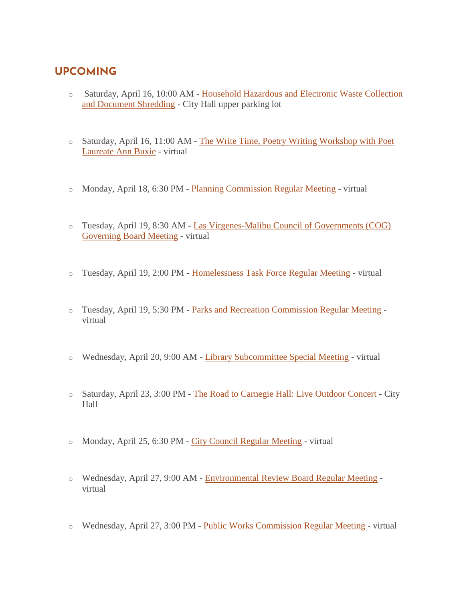## **UPCOMING**

- o Saturday, April 16, 10:00 AM [Household Hazardous and Electronic Waste Collection](https://www.malibucity.org/Calendar.aspx?EID=5697&month=4&year=2022&day=16&calType=0)  [and Document Shredding](https://www.malibucity.org/Calendar.aspx?EID=5697&month=4&year=2022&day=16&calType=0) - City Hall upper parking lot
- o Saturday, April 16, 11:00 AM [The Write Time, Poetry Writing Workshop with Poet](https://www.malibucity.org/Calendar.aspx?EID=6603&month=4&year=2022&day=16&calType=0)  [Laureate Ann Buxie](https://www.malibucity.org/Calendar.aspx?EID=6603&month=4&year=2022&day=16&calType=0) - virtual
- o Monday, April 18, 6:30 PM [Planning Commission Regular Meeting](https://www.malibucity.org/Calendar.aspx?EID=6664&month=4&year=2022&day=18&calType=0) virtual
- o Tuesday, April 19, 8:30 AM [Las Virgenes-Malibu Council of Governments \(COG\)](https://www.malibucity.org/Calendar.aspx?EID=6253&month=4&year=2022&day=19&calType=0)  [Governing Board Meeting](https://www.malibucity.org/Calendar.aspx?EID=6253&month=4&year=2022&day=19&calType=0) - virtual
- o Tuesday, April 19, 2:00 PM [Homelessness Task Force Regular Meeting](https://www.malibucity.org/Calendar.aspx?EID=6229&month=4&year=2022&day=19&calType=0) virtual
- o Tuesday, April 19, 5:30 PM [Parks and Recreation Commission Regular Meeting](https://www.malibucity.org/Calendar.aspx?EID=6296&month=4&year=2022&day=19&calType=0) virtual
- o Wednesday, April 20, 9:00 AM [Library Subcommittee Special Meeting](https://www.malibucity.org/Calendar.aspx?EID=6669&month=4&year=2022&day=20&calType=0) virtual
- o Saturday, April 23, 3:00 PM [The Road to Carnegie Hall: Live Outdoor Concert](https://www.malibucity.org/Calendar.aspx?EID=6644&month=4&year=2022&day=23&calType=0) City Hall
- o Monday, April 25, 6:30 PM [City Council Regular Meeting](https://www.malibucity.org/Calendar.aspx?EID=6321&month=4&year=2022&day=25&calType=0) virtual
- o Wednesday, April 27, 9:00 AM [Environmental Review Board Regular Meeting](https://www.malibucity.org/Calendar.aspx?EID=4562&month=4&year=2022&day=27&calType=0) virtual
- o Wednesday, April 27, 3:00 PM [Public Works Commission Regular Meeting](https://www.malibucity.org/Calendar.aspx?EID=6357&month=4&year=2022&day=27&calType=0) virtual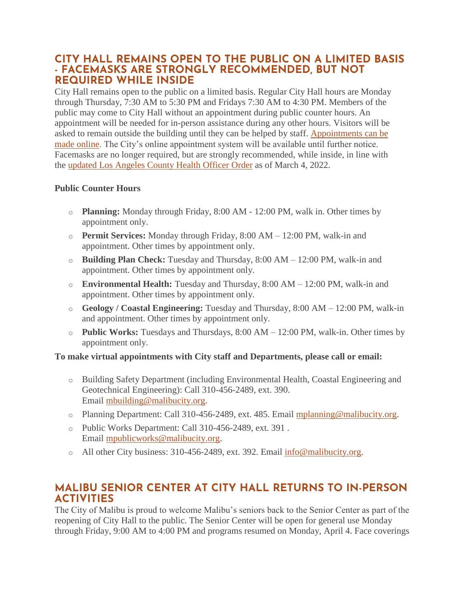### **CITY HALL REMAINS OPEN TO THE PUBLIC ON A LIMITED BASIS - FACEMASKS ARE STRONGLY RECOMMENDED, BUT NOT REQUIRED WHILE INSIDE**

City Hall remains open to the public on a limited basis. Regular City Hall hours are Monday through Thursday, 7:30 AM to 5:30 PM and Fridays 7:30 AM to 4:30 PM. Members of the public may come to City Hall without an appointment during public counter hours. An appointment will be needed for in-person assistance during any other hours. Visitors will be asked to remain outside the building until they can be helped by staff. [Appointments can be](http://www.malibucity.org/appointments)  [made online.](http://www.malibucity.org/appointments) The City's online appointment system will be available until further notice. Facemasks are no longer required, but are strongly recommended, while inside, in line with the [updated Los Angeles County Health Officer Order](http://publichealth.lacounty.gov/media/Coronavirus/docs/HOO/HOO_SaferReturnWorkCommunity.pdf) as of March 4, 2022.

#### **Public Counter Hours**

- o **Planning:** Monday through Friday, 8:00 AM 12:00 PM, walk in. Other times by appointment only.
- o **Permit Services:** Monday through Friday, 8:00 AM 12:00 PM, walk-in and appointment. Other times by appointment only.
- o **Building Plan Check:** Tuesday and Thursday, 8:00 AM 12:00 PM, walk-in and appointment. Other times by appointment only.
- o **Environmental Health:** Tuesday and Thursday, 8:00 AM 12:00 PM, walk-in and appointment. Other times by appointment only.
- o **Geology / Coastal Engineering:** Tuesday and Thursday, 8:00 AM 12:00 PM, walk-in and appointment. Other times by appointment only.
- o **Public Works:** Tuesdays and Thursdays, 8:00 AM 12:00 PM, walk-in. Other times by appointment only.

#### **To make virtual appointments with City staff and Departments, please call or email:**

- o Building Safety Department (including Environmental Health, Coastal Engineering and Geotechnical Engineering): Call 310-456-2489, ext. 390. Email [mbuilding@malibucity.org.](mailto:mbuilding@malibucity.org)
- o Planning Department: Call 310-456-2489, ext. 485. Email [mplanning@malibucity.org.](mailto:mplanning@malibucity.org)
- o Public Works Department: Call 310-456-2489, ext. 391 . Email [mpublicworks@malibucity.org.](mailto:mpublicworks@malibucity.org)
- o All other City business: 310-456-2489, ext. 392. Email [info@malibucity.org.](mailto:info@malibucity.org)

## **MALIBU SENIOR CENTER AT CITY HALL RETURNS TO IN-PERSON ACTIVITIES**

The City of Malibu is proud to welcome Malibu's seniors back to the Senior Center as part of the reopening of City Hall to the public. The Senior Center will be open for general use Monday through Friday, 9:00 AM to 4:00 PM and programs resumed on Monday, April 4. Face coverings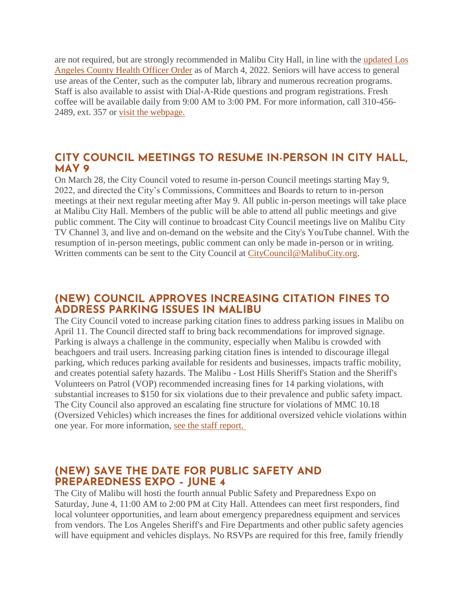are not required, but are strongly recommended in Malibu City Hall, in line with the [updated Los](http://publichealth.lacounty.gov/media/Coronavirus/docs/HOO/HOO_SaferReturnWorkCommunity.pdf)  Angeles County [Health Officer Order](http://publichealth.lacounty.gov/media/Coronavirus/docs/HOO/HOO_SaferReturnWorkCommunity.pdf) as of March 4, 2022. Seniors will have access to general use areas of the Center, such as the computer lab, library and numerous recreation programs. Staff is also available to assist with Dial-A-Ride questions and program registrations. Fresh coffee will be available daily from 9:00 AM to 3:00 PM. For more information, call 310-456- 2489, ext. 357 or [visit the webpage.](https://www.malibucity.org/seniorcenter)

#### **CITY COUNCIL MEETINGS TO RESUME IN-PERSON IN CITY HALL, MAY 9**

On March 28, the City Council voted to resume in-person Council meetings starting May 9, 2022, and directed the City's Commissions, Committees and Boards to return to in-person meetings at their next regular meeting after May 9. All public in-person meetings will take place at Malibu City Hall. Members of the public will be able to attend all public meetings and give public comment. The City will continue to broadcast City Council meetings live on Malibu City TV Channel 3, and live and on-demand on the website and the City's YouTube channel. With the resumption of in-person meetings, public comment can only be made in-person or in writing. Written comments can be sent to the City Council at [CityCouncil@MalibuCity.org.](mailto:CityCouncil@MalibuCity.org)

### **(NEW) COUNCIL APPROVES INCREASING CITATION FINES TO ADDRESS PARKING ISSUES IN MALIBU**

The City Council voted to increase parking citation fines to address parking issues in Malibu on April 11. The Council directed staff to bring back recommendations for improved signage. Parking is always a challenge in the community, especially when Malibu is crowded with beachgoers and trail users. Increasing parking citation fines is intended to discourage illegal parking, which reduces parking available for residents and businesses, impacts traffic mobility, and creates potential safety hazards. The Malibu - Lost Hills Sheriff's Station and the Sheriff's Volunteers on Patrol (VOP) recommended increasing fines for 14 parking violations, with substantial increases to \$150 for six violations due to their prevalence and public safety impact. The City Council also approved an escalating fine structure for violations of MMC 10.18 (Oversized Vehicles) which increases the fines for additional oversized vehicle violations within one year. For more information, [see the staff report.](https://www.malibucity.org/AgendaCenter/ViewFile/Item/5496?fileID=29048)

### **(NEW) SAVE THE DATE FOR PUBLIC SAFETY AND PREPAREDNESS EXPO – JUNE 4**

The City of Malibu will hosti the fourth annual Public Safety and Preparedness Expo on Saturday, June 4, 11:00 AM to 2:00 PM at City Hall. Attendees can meet first responders, find local volunteer opportunities, and learn about emergency preparedness equipment and services from vendors. The Los Angeles Sheriff's and Fire Departments and other public safety agencies will have equipment and vehicles displays. No RSVPs are required for this free, family friendly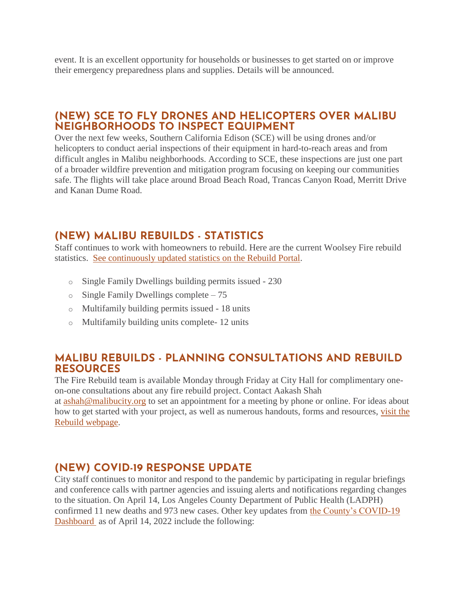event. It is an excellent opportunity for households or businesses to get started on or improve their emergency preparedness plans and supplies. Details will be announced.

### **(NEW) SCE TO FLY DRONES AND HELICOPTERS OVER MALIBU NEIGHBORHOODS TO INSPECT EQUIPMENT**

Over the next few weeks, Southern California Edison (SCE) will be using drones and/or helicopters to conduct aerial inspections of their equipment in hard-to-reach areas and from difficult angles in Malibu neighborhoods. According to SCE, these inspections are just one part of a broader wildfire prevention and mitigation program focusing on keeping our communities safe. The flights will take place around Broad Beach Road, Trancas Canyon Road, Merritt Drive and Kanan Dume Road.

## **(NEW) MALIBU REBUILDS - STATISTICS**

Staff continues to work with homeowners to rebuild. Here are the current Woolsey Fire rebuild statistics. [See continuously updated statistics on the Rebuild Portal.](https://malibupermits.ci.malibu.ca.us/WoolseyRebuildStats.aspx?returnId=901)

- o Single Family Dwellings building permits issued 230
- o Single Family Dwellings complete 75
- o Multifamily building permits issued 18 units
- o Multifamily building units complete- 12 units

#### **MALIBU REBUILDS - PLANNING CONSULTATIONS AND REBUILD RESOURCES**

The Fire Rebuild team is available Monday through Friday at City Hall for complimentary oneon-one consultations about any fire rebuild project. Contact Aakash Shah

at [ashah@malibucity.org](mailto:ashah@malibucity.org) to set an appointment for a meeting by phone or online. For ideas about how to get started with your project, as well as numerous handouts, forms and resources, [visit the](https://www.malibucity.org/901/Malibu-Rebuilds)  [Rebuild webpage.](https://www.malibucity.org/901/Malibu-Rebuilds)

## **(NEW) COVID-19 RESPONSE UPDATE**

City staff continues to monitor and respond to the pandemic by participating in regular briefings and conference calls with partner agencies and issuing alerts and notifications regarding changes to the situation. On April 14, Los Angeles County Department of Public Health (LADPH) confirmed 11 new deaths and 973 new cases. Other key updates from [the County's COVID-19](http://publichealth.lacounty.gov/media/coronavirus/data/index.htm)  [Dashboard](http://publichealth.lacounty.gov/media/coronavirus/data/index.htm) as of April 14, 2022 include the following: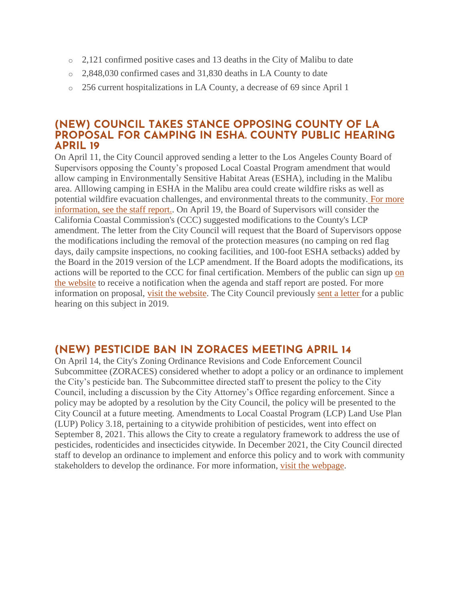- $\circ$  2,121 confirmed positive cases and 13 deaths in the City of Malibu to date
- o 2,848,030 confirmed cases and 31,830 deaths in LA County to date
- o 256 current hospitalizations in LA County, a decrease of 69 since April 1

#### **(NEW) COUNCIL TAKES STANCE OPPOSING COUNTY OF LA PROPOSAL FOR CAMPING IN ESHA. COUNTY PUBLIC HEARING APRIL 19**

On April 11, the City Council approved sending a letter to the Los Angeles County Board of Supervisors opposing the County's proposed Local Coastal Program amendment that would allow camping in Environmentally Sensitive Habitat Areas (ESHA), including in the Malibu area. Alllowing camping in ESHA in the Malibu area could create wildfire risks as well as potential wildfire evacuation challenges, and environmental threats to the community. [For more](https://www.malibucity.org/AgendaCenter/ViewFile/Item/5498?fileID=29051)  [information, see the staff report..](https://www.malibucity.org/AgendaCenter/ViewFile/Item/5498?fileID=29051) On April 19, the Board of Supervisors will consider the California Coastal Commission's (CCC) suggested modifications to the County's LCP amendment. The letter from the City Council will request that the Board of Supervisors oppose the modifications including the removal of the protection measures (no camping on red flag days, daily campsite inspections, no cooking facilities, and 100-foot ESHA setbacks) added by the Board in the 2019 version of the LCP amendment. If the Board adopts the modifications, its actions will be reported to the CCC for final certification. Members of the public can sign up on [the website](https://public.govdelivery.com/accounts/CALACOUNTY/subscriber/new?topic_id=CALACOUNTY_114) to receive a notification when the agenda and staff report are posted. For more information on proposal, [visit the website.](https://www.coastal.ca.gov/meetings/agenda/#/2021/7) The City Council previously [sent a letter](https://www.malibucity.org/DocumentCenter/View/29596/LACoBOS_LCP-Amendment-Camping-in-ESHA_190522-signed) for a public hearing on this subject in 2019.

### **(NEW) PESTICIDE BAN IN ZORACES MEETING APRIL 14**

On April 14, the City's Zoning Ordinance Revisions and Code Enforcement Council Subcommittee (ZORACES) considered whether to adopt a policy or an ordinance to implement the City's pesticide ban. The Subcommittee directed staff to present the policy to the City Council, including a discussion by the City Attorney's Office regarding enforcement. Since a policy may be adopted by a resolution by the City Council, the policy will be presented to the City Council at a future meeting. Amendments to Local Coastal Program (LCP) Land Use Plan (LUP) Policy 3.18, pertaining to a citywide prohibition of pesticides, went into effect on September 8, 2021. This allows the City to create a regulatory framework to address the use of pesticides, rodenticides and insecticides citywide. In December 2021, the City Council directed staff to develop an ordinance to implement and enforce this policy and to work with community stakeholders to develop the ordinance. For more information, [visit the webpage.](https://malibucity.org/1015/Pesticide-Ban)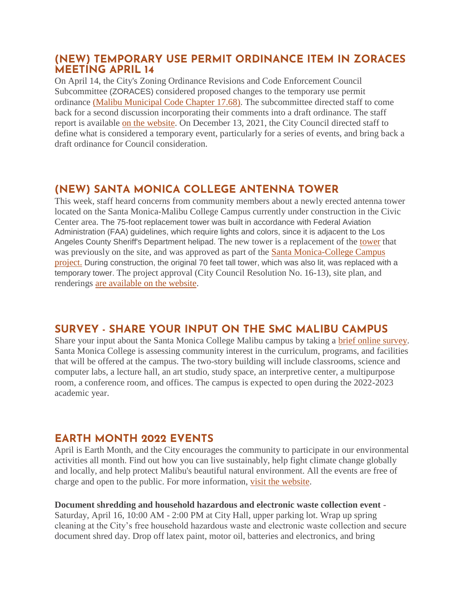#### **(NEW) TEMPORARY USE PERMIT ORDINANCE ITEM IN ZORACES MEETING APRIL 14**

On April 14, the City's Zoning Ordinance Revisions and Code Enforcement Council Subcommittee (ZORACES) considered proposed changes to the temporary use permit ordinance [\(Malibu Municipal Code Chapter 17.68\).](https://qcode.us/codes/malibu/?cite=17.68) The subcommittee directed staff to come back for a second discussion incorporating their comments into a draft ordinance. The staff report is available [on the website.](https://www.malibucity.org/AgendaCenter/ViewFile/Agenda/_04142022-1879) On December 13, 2021, the City Council directed staff to define what is considered a temporary event, particularly for a series of events, and bring back a draft ordinance for Council consideration.

## **(NEW) SANTA MONICA COLLEGE ANTENNA TOWER**

This week, staff heard concerns from community members about a newly erected antenna tower located on the Santa Monica-Malibu College Campus currently under construction in the Civic Center area. The 75-foot replacement tower was built in accordance with Federal Aviation Administration (FAA) guidelines, which require lights and colors, since it is adjacent to the Los Angeles County Sheriff's Department helipad. The new [tower](https://www.malibucity.org/DocumentCenter/View/29655/County-Property---Tower) is a replacement of the tower that was previously on the site, and was approved as part of the [Santa Monica-College Campus](https://malibucity.org/400/Santa-Monica-College---Malibu-Campus-Pro)  [project.](https://malibucity.org/400/Santa-Monica-College---Malibu-Campus-Pro) During construction, the original 70 feet tall tower, which was also lit, was replaced with a temporary tower. The project approval (City Council Resolution No. 16-13), site plan, and renderings [are available on the website.](https://malibucity.org/400/Santa-Monica-College---Malibu-Campus-Pro)

# **SURVEY - SHARE YOUR INPUT ON THE SMC MALIBU CAMPUS**

Share your input about the Santa Monica College Malibu campus by taking a [brief online survey.](https://www.smc.edu/malibusurvey) Santa Monica College is assessing community interest in the curriculum, programs, and facilities that will be offered at the campus. The two-story building will include classrooms, science and computer labs, a lecture hall, an art studio, study space, an interpretive center, a multipurpose room, a conference room, and offices. The campus is expected to open during the 2022-2023 academic year.

### **EARTH MONTH 2022 EVENTS**

April is Earth Month, and the City encourages the community to participate in our environmental activities all month. Find out how you can live sustainably, help fight climate change globally and locally, and help protect Malibu's beautiful natural environment. All the events are free of charge and open to the public. For more information, [visit the website.](http://www.malibucity.org/EarthMonth)

**Document shredding and household hazardous and electronic waste collection event** - Saturday, April 16, 10:00 AM - 2:00 PM at City Hall, upper parking lot. Wrap up spring cleaning at the City's free household hazardous waste and electronic waste collection and secure document shred day. Drop off latex paint, motor oil, batteries and electronics, and bring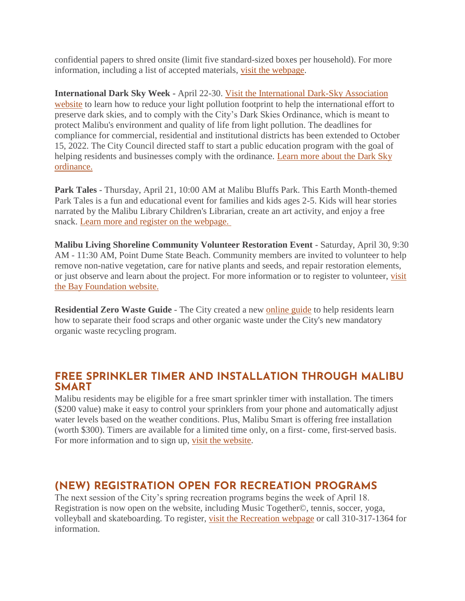confidential papers to shred onsite (limit five standard-sized boxes per household). For more information, including a list of accepted materials, [visit the webpage.](http://www.malibucity.org/HHWRecycling)

**International Dark Sky Week -** April 22-30. [Visit the International Dark-Sky Association](https://idsw.darksky.org/)  [website](https://idsw.darksky.org/) to learn how to reduce your light pollution footprint to help the international effort to preserve dark skies, and to comply with the City's Dark Skies Ordinance, which is meant to protect Malibu's environment and quality of life from light pollution. The deadlines for compliance for commercial, residential and institutional districts has been extended to October 15, 2022. The City Council directed staff to start a public education program with the goal of helping residents and businesses comply with the ordinance. Learn more about the Dark Sky [ordinance.](https://www.malibucity.org/darksky)

**Park Tales** - Thursday, April 21, 10:00 AM at Malibu Bluffs Park. This Earth Month-themed Park Tales is a fun and educational event for families and kids ages 2-5. Kids will hear stories narrated by the Malibu Library Children's Librarian, create an art activity, and enjoy a free snack. [Learn more and register on the webpage.](https://www.malibucity.org/calendar.aspx?eid=6441)

**Malibu Living Shoreline Community Volunteer Restoration Event** - Saturday, April 30, 9:30 AM - 11:30 AM, Point Dume State Beach. Community members are invited to volunteer to help remove non-native vegetation, care for native plants and seeds, and repair restoration elements, or just observe and learn about the project. For more information or to register to volunteer, [visit](http://www.malibucity.org/DuneRestorationVolunteer)  [the Bay Foundation website.](http://www.malibucity.org/DuneRestorationVolunteer)

**Residential Zero Waste Guide** - The City created a new [online guide](http://www.malibucity.org/homezerowasteguide) to help residents learn how to separate their food scraps and other organic waste under the City's new mandatory organic waste recycling program.

#### **FREE SPRINKLER TIMER AND INSTALLATION THROUGH MALIBU SMART**

Malibu residents may be eligible for a free smart sprinkler timer with installation. The timers (\$200 value) make it easy to control your sprinklers from your phone and automatically adjust water levels based on the weather conditions. Plus, Malibu Smart is offering free installation (worth \$300). Timers are available for a limited time only, on a first- come, first-served basis. For more information and to sign up, [visit the website.](https://1num06zo47s.typeform.com/to/TA28QGIC)

# **(NEW) REGISTRATION OPEN FOR RECREATION PROGRAMS**

The next session of the City's spring recreation programs begins the week of April 18. Registration is now open on the website, including Music Together©, tennis, soccer, yoga, volleyball and skateboarding. To register, [visit the Recreation webpage](https://parksrecreation.ci.malibu.ca.us/CourseActivities.aspx?id=1024&cat=17) or call 310-317-1364 for information.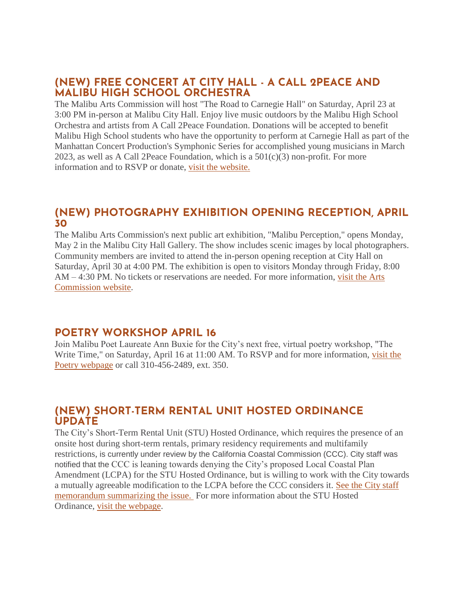### **(NEW) FREE CONCERT AT CITY HALL - A CALL 2PEACE AND MALIBU HIGH SCHOOL ORCHESTRA**

The Malibu Arts Commission will host "The Road to Carnegie Hall" on Saturday, April 23 at 3:00 PM in-person at Malibu City Hall. Enjoy live music outdoors by the Malibu High School Orchestra and artists from A Call 2Peace Foundation. Donations will be accepted to benefit Malibu High School students who have the opportunity to perform at Carnegie Hall as part of the Manhattan Concert Production's Symphonic Series for accomplished young musicians in March 2023, as well as A Call 2Peace Foundation, which is a  $501(c)(3)$  non-profit. For more information and to RSVP or donate, [visit the website.](https://www.showtix4u.com/event-details/63702)

#### **(NEW) PHOTOGRAPHY EXHIBITION OPENING RECEPTION, APRIL 30**

The Malibu Arts Commission's next public art exhibition, "Malibu Perception," opens Monday, May 2 in the Malibu City Hall Gallery. The show includes scenic images by local photographers. Community members are invited to attend the in-person opening reception at City Hall on Saturday, April 30 at 4:00 PM. The exhibition is open to visitors Monday through Friday, 8:00 AM – 4:30 PM. No tickets or reservations are needed. For more information, [visit the Arts](https://malibuartsandculture.org/)  [Commission website.](https://malibuartsandculture.org/)

### **POETRY WORKSHOP APRIL 16**

Join Malibu Poet Laureate Ann Buxie for the City's next free, virtual poetry workshop, "The Write Time," on Saturday, April 16 at 11:00 AM. To RSVP and for more information, [visit the](https://www.malibucity.org/poetry)  [Poetry webpage](https://www.malibucity.org/poetry) or call 310-456-2489, ext. 350.

### **(NEW) SHORT-TERM RENTAL UNIT HOSTED ORDINANCE UPDATE**

The City's Short-Term Rental Unit (STU) Hosted Ordinance, which requires the presence of an onsite host during short-term rentals, primary residency requirements and multifamily restrictions, is currently under review by the California Coastal Commission (CCC). City staff was notified that the CCC is leaning towards denying the City's proposed Local Coastal Plan Amendment (LCPA) for the STU Hosted Ordinance, but is willing to work with the City towards a mutually agreeable modification to the LCPA before the CCC considers it. [See the City staff](https://malibucity.org/DocumentCenter/View/29646/STR-Memo-4-11-22)  [memorandum summarizing the issue.](https://malibucity.org/DocumentCenter/View/29646/STR-Memo-4-11-22) For more information about the STU Hosted Ordinance, [visit the webpage.](https://malibucity.org/1070/STR-Ordinances-In-Progress)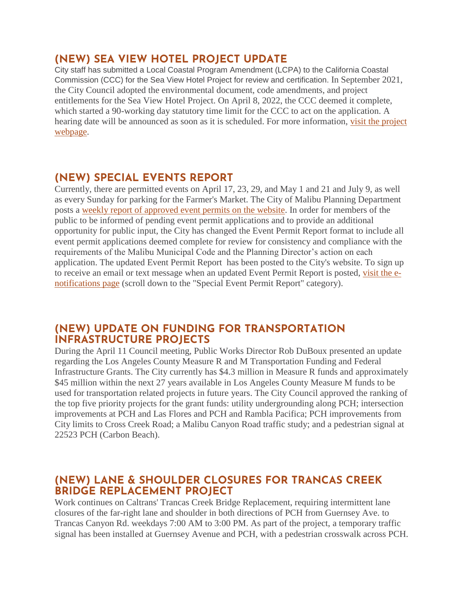## **(NEW) SEA VIEW HOTEL PROJECT UPDATE**

City staff has submitted a Local Coastal Program Amendment (LCPA) to the California Coastal Commission (CCC) for the Sea View Hotel Project for review and certification. In September 2021, the City Council adopted the environmental document, code amendments, and project entitlements for the Sea View Hotel Project. On April 8, 2022, the CCC deemed it complete, which started a 90-working day statutory time limit for the CCC to act on the application. A hearing date will be announced as soon as it is scheduled. For more information, [visit the project](https://malibucity.org/seaviewhotel)  [webpage.](https://malibucity.org/seaviewhotel)

## **(NEW) SPECIAL EVENTS REPORT**

Currently, there are permitted events on April 17, 23, 29, and May 1 and 21 and July 9, as well as every Sunday for parking for the Farmer's Market. The City of Malibu Planning Department posts a [weekly report of approved event permits on the website.](https://www.malibucity.org/DocumentCenter/View/24661/Permitted-Events) In order for members of the public to be informed of pending event permit applications and to provide an additional opportunity for public input, the City has changed the Event Permit Report format to include all event permit applications deemed complete for review for consistency and compliance with the requirements of the Malibu Municipal Code and the Planning Director's action on each application. The updated Event Permit Report has been posted to the City's website. To sign up to receive an email or text message when an updated Event Permit Report is posted, [visit the e](https://www.malibucity.org/news)[notifications page](https://www.malibucity.org/news) (scroll down to the "Special Event Permit Report" category).

#### **(NEW) UPDATE ON FUNDING FOR TRANSPORTATION INFRASTRUCTURE PROJECTS**

During the April 11 Council meeting, Public Works Director Rob DuBoux presented an update regarding the Los Angeles County Measure R and M Transportation Funding and Federal Infrastructure Grants. The City currently has \$4.3 million in Measure R funds and approximately \$45 million within the next 27 years available in Los Angeles County Measure M funds to be used for transportation related projects in future years. The City Council approved the ranking of the top five priority projects for the grant funds: utility undergrounding along PCH; intersection improvements at PCH and Las Flores and PCH and Rambla Pacifica; PCH improvements from City limits to Cross Creek Road; a Malibu Canyon Road traffic study; and a pedestrian signal at 22523 PCH (Carbon Beach).

## **(NEW) LANE & SHOULDER CLOSURES FOR TRANCAS CREEK BRIDGE REPLACEMENT PROJECT**

Work continues on Caltrans' Trancas Creek Bridge Replacement, requiring intermittent lane closures of the far-right lane and shoulder in both directions of PCH from Guernsey Ave. to Trancas Canyon Rd. weekdays 7:00 AM to 3:00 PM. As part of the project, a temporary traffic signal has been installed at Guernsey Avenue and PCH, with a pedestrian crosswalk across PCH.